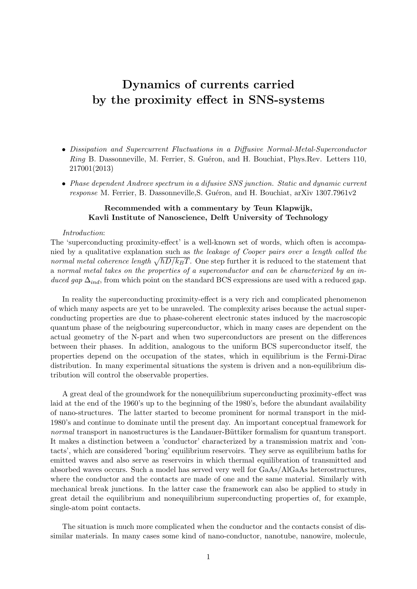# Dynamics of currents carried by the proximity effect in SNS-systems

- Dissipation and Supercurrent Fluctuations in a Diffusive Normal-Metal-Superconductor Ring B. Dassonneville, M. Ferrier, S. Guéron, and H. Bouchiat, Phys.Rev. Letters 110, 217001(2013)
- Phase dependent Andreev spectrum in a difusive SNS junction. Static and dynamic current response M. Ferrier, B. Dassonneville, S. Guéron, and H. Bouchiat, arXiv  $1307.7961v2$

### Recommended with a commentary by Teun Klapwijk, Kavli Institute of Nanoscience, Delft University of Technology

#### Introduction:

The 'superconducting proximity-effect' is a well-known set of words, which often is accompanied by a qualitative explanation such as the leakage of Cooper pairs over a length called the normal metal coherence length  $\sqrt{\hbar D/k_BT}$ . One step further it is reduced to the statement that a normal metal takes on the properties of a superconductor and can be characterized by an induced gap  $\Delta_{ind}$ , from which point on the standard BCS expressions are used with a reduced gap.

In reality the superconducting proximity-effect is a very rich and complicated phenomenon of which many aspects are yet to be unraveled. The complexity arises because the actual superconducting properties are due to phase-coherent electronic states induced by the macroscopic quantum phase of the neigbouring superconductor, which in many cases are dependent on the actual geometry of the N-part and when two superconductors are present on the differences between their phases. In addition, analogous to the uniform BCS superconductor itself, the properties depend on the occupation of the states, which in equilibrium is the Fermi-Dirac distribution. In many experimental situations the system is driven and a non-equilibrium distribution will control the observable properties.

A great deal of the groundwork for the nonequilibrium superconducting proximity-effect was laid at the end of the 1960's up to the beginning of the 1980's, before the abundant availability of nano-structures. The latter started to become prominent for normal transport in the mid-1980's and continue to dominate until the present day. An important conceptual framework for normal transport in nanostructures is the Landauer-Büttiker formalism for quantum transport. It makes a distinction between a 'conductor' characterized by a transmission matrix and 'contacts', which are considered 'boring' equilibrium reservoirs. They serve as equilibrium baths for emitted waves and also serve as reservoirs in which thermal equilibration of transmitted and absorbed waves occurs. Such a model has served very well for GaAs/AlGaAs heterostructures, where the conductor and the contacts are made of one and the same material. Similarly with mechanical break junctions. In the latter case the framework can also be applied to study in great detail the equilibrium and nonequilibrium superconducting properties of, for example, single-atom point contacts.

The situation is much more complicated when the conductor and the contacts consist of dissimilar materials. In many cases some kind of nano-conductor, nanotube, nanowire, molecule,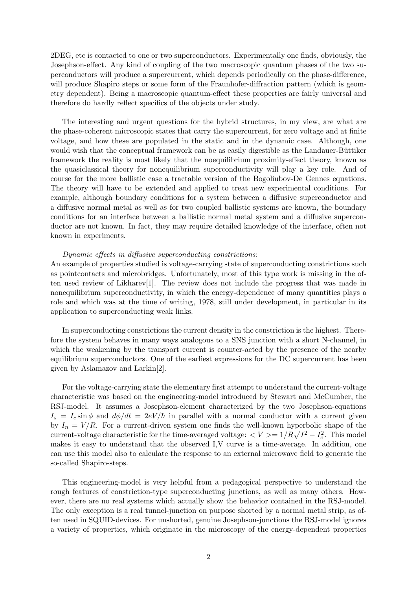2DEG, etc is contacted to one or two superconductors. Experimentally one finds, obviously, the Josephson-effect. Any kind of coupling of the two macroscopic quantum phases of the two superconductors will produce a supercurrent, which depends periodically on the phase-difference, will produce Shapiro steps or some form of the Fraunhofer-diffraction pattern (which is geometry dependent). Being a macroscopic quantum-effect these properties are fairly universal and therefore do hardly reflect specifics of the objects under study.

The interesting and urgent questions for the hybrid structures, in my view, are what are the phase-coherent microscopic states that carry the supercurrent, for zero voltage and at finite voltage, and how these are populated in the static and in the dynamic case. Although, one would wish that the conceptual framework can be as easily digestible as the Landauer-Büttiker framework the reality is most likely that the noequilibrium proximity-effect theory, known as the quasiclassical theory for nonequilibrium superconductivity will play a key role. And of course for the more ballistic case a tractable version of the Bogoliubov-De Gennes equations. The theory will have to be extended and applied to treat new experimental conditions. For example, although boundary conditions for a system between a diffusive superconductor and a diffusive normal metal as well as for two coupled ballistic systems are known, the boundary conditions for an interface between a ballistic normal metal system and a diffusive superconductor are not known. In fact, they may require detailed knowledge of the interface, often not known in experiments.

#### Dynamic effects in diffusive superconducting constrictions:

An example of properties studied is voltage-carrying state of superconducting constrictions such as pointcontacts and microbridges. Unfortunately, most of this type work is missing in the often used review of Likharev[1]. The review does not include the progress that was made in nonequilibrium superconductivity, in which the energy-dependence of many quantities plays a role and which was at the time of writing, 1978, still under development, in particular in its application to superconducting weak links.

In superconducting constrictions the current density in the constriction is the highest. Therefore the system behaves in many ways analogous to a SNS junction with a short N-channel, in which the weakening by the transport current is counter-acted by the presence of the nearby equilibrium superconductors. One of the earliest expressions for the DC supercurrent has been given by Aslamazov and Larkin[2].

For the voltage-carrying state the elementary first attempt to understand the current-voltage characteristic was based on the engineering-model introduced by Stewart and McCumber, the RSJ-model. It assumes a Josephson-element characterized by the two Josephson-equations  $I_s = I_c \sin \phi$  and  $d\phi/dt = 2eV/\hbar$  in parallel with a normal conductor with a current given by  $I_n = V/R$ . For a current-driven system one finds the well-known hyperbolic shape of the current-voltage characteristic for the time-averaged voltage:  $\langle V \rangle = 1/R\sqrt{I^2 - I_c^2}$ . This model makes it easy to understand that the observed I,V curve is a time-average. In addition, one can use this model also to calculate the response to an external microwave field to generate the so-called Shapiro-steps.

This engineering-model is very helpful from a pedagogical perspective to understand the rough features of constriction-type superconducting junctions, as well as many others. However, there are no real systems which actually show the behavior contained in the RSJ-model. The only exception is a real tunnel-junction on purpose shorted by a normal metal strip, as often used in SQUID-devices. For unshorted, genuine Josephson-junctions the RSJ-model ignores a variety of properties, which originate in the microscopy of the energy-dependent properties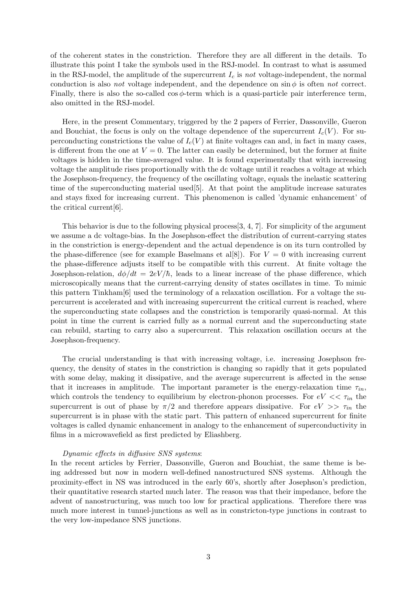of the coherent states in the constriction. Therefore they are all different in the details. To illustrate this point I take the symbols used in the RSJ-model. In contrast to what is assumed in the RSJ-model, the amplitude of the supercurrent  $I_c$  is not voltage-independent, the normal conduction is also *not* voltage independent, and the dependence on  $\sin \phi$  is often *not* correct. Finally, there is also the so-called  $\cos \phi$ -term which is a quasi-particle pair interference term, also omitted in the RSJ-model.

Here, in the present Commentary, triggered by the 2 papers of Ferrier, Dassonville, Gueron and Bouchiat, the focus is only on the voltage dependence of the supercurrent  $I_c(V)$ . For superconducting constrictions the value of  $I_c(V)$  at finite voltages can and, in fact in many cases, is different from the one at  $V = 0$ . The latter can easily be determined, but the former at finite voltages is hidden in the time-averaged value. It is found experimentally that with increasing voltage the amplitude rises proportionally with the dc voltage until it reaches a voltage at which the Josephson-frequency, the frequency of the oscillating voltage, equals the inelastic scattering time of the superconducting material used[5]. At that point the amplitude increase saturates and stays fixed for increasing current. This phenomenon is called 'dynamic enhancement' of the critical current[6].

This behavior is due to the following physical process[3, 4, 7]. For simplicity of the argument we assume a dc voltage-bias. In the Josephson-effect the distribution of current-carrying states in the constriction is energy-dependent and the actual dependence is on its turn controlled by the phase-difference (see for example Baselmans et al[8]). For  $V = 0$  with increasing current the phase-difference adjusts itself to be compatible with this current. At finite voltage the Josephson-relation,  $d\phi/dt = 2eV/\hbar$ , leads to a linear increase of the phase difference, which microscopically means that the current-carrying density of states oscillates in time. To mimic this pattern Tinkham[6] used the terminology of a relaxation oscillation. For a voltage the supercurrent is accelerated and with increasing supercurrent the critical current is reached, where the superconducting state collapses and the constriction is temporarily quasi-normal. At this point in time the current is carried fully as a normal current and the superconducting state can rebuild, starting to carry also a supercurrent. This relaxation oscillation occurs at the Josephson-frequency.

The crucial understanding is that with increasing voltage, i.e. increasing Josephson frequency, the density of states in the constriction is changing so rapidly that it gets populated with some delay, making it dissipative, and the average supercurrent is affected in the sense that it increases in amplitude. The important parameter is the energy-relaxation time  $\tau_{in}$ , which controls the tendency to equilibrium by electron-phonon processes. For  $eV \ll \tau_{in}$  the supercurrent is out of phase by  $\pi/2$  and therefore appears dissipative. For  $eV \gg \tau_{in}$  the supercurrent is in phase with the static part. This pattern of enhanced supercurrent for finite voltages is called dynamic enhancement in analogy to the enhancement of superconductivity in films in a microwavefield as first predicted by Eliashberg.

#### Dynamic effects in diffusive SNS systems:

In the recent articles by Ferrier, Dassonville, Gueron and Bouchiat, the same theme is being addressed but now in modern well-defined nanostructured SNS systems. Although the proximity-effect in NS was introduced in the early 60's, shortly after Josephson's prediction, their quantitative research started much later. The reason was that their impedance, before the advent of nanostructuring, was much too low for practical applications. Therefore there was much more interest in tunnel-junctions as well as in constricton-type junctions in contrast to the very low-impedance SNS junctions.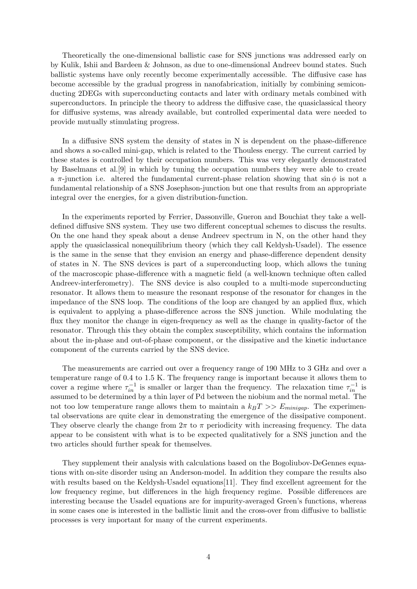Theoretically the one-dimensional ballistic case for SNS junctions was addressed early on by Kulik, Ishii and Bardeen & Johnson, as due to one-dimensional Andreev bound states. Such ballistic systems have only recently become experimentally accessible. The diffusive case has become accessible by the gradual progress in nanofabrication, initially by combining semiconducting 2DEGs with superconducting contacts and later with ordinary metals combined with superconductors. In principle the theory to address the diffusive case, the quasiclassical theory for diffusive systems, was already available, but controlled experimental data were needed to provide mutually stimulating progress.

In a diffusive SNS system the density of states in N is dependent on the phase-difference and shows a so-called mini-gap, which is related to the Thouless energy. The current carried by these states is controlled by their occupation numbers. This was very elegantly demonstrated by Baselmans et al.[9] in which by tuning the occupation numbers they were able to create a  $\pi$ -junction i.e. altered the fundamental current-phase relation showing that sin  $\phi$  is not a fundamental relationship of a SNS Josephson-junction but one that results from an appropriate integral over the energies, for a given distribution-function.

In the experiments reported by Ferrier, Dassonville, Gueron and Bouchiat they take a welldefined diffusive SNS system. They use two different conceptual schemes to discuss the results. On the one hand they speak about a dense Andreev spectrum in N, on the other hand they apply the quasiclassical nonequilibrium theory (which they call Keldysh-Usadel). The essence is the same in the sense that they envision an energy and phase-difference dependent density of states in N. The SNS devices is part of a superconducting loop, which allows the tuning of the macroscopic phase-difference with a magnetic field (a well-known technique often called Andreev-interferometry). The SNS device is also coupled to a multi-mode superconducting resonator. It allows them to measure the resonant response of the resonator for changes in the impedance of the SNS loop. The conditions of the loop are changed by an applied flux, which is equivalent to applying a phase-difference across the SNS junction. While modulating the flux they monitor the change in eigen-frequency as well as the change in quality-factor of the resonator. Through this they obtain the complex susceptibility, which contains the information about the in-phase and out-of-phase component, or the dissipative and the kinetic inductance component of the currents carried by the SNS device.

The measurements are carried out over a frequency range of 190 MHz to 3 GHz and over a temperature range of 0.4 to 1.5 K. The frequency range is important because it allows them to cover a regime where  $\tau_{in}^{-1}$  is smaller or larger than the frequency. The relaxation time  $\tau_{in}^{-1}$  is assumed to be determined by a thin layer of Pd between the niobium and the normal metal. The not too low temperature range allows them to maintain a  $k_BT >> E_{minigap}$ . The experimental observations are quite clear in demonstrating the emergence of the dissipative component. They observe clearly the change from  $2\pi$  to  $\pi$  periodicity with increasing frequency. The data appear to be consistent with what is to be expected qualitatively for a SNS junction and the two articles should further speak for themselves.

They supplement their analysis with calculations based on the Bogoliubov-DeGennes equations with on-site disorder using an Anderson-model. In addition they compare the results also with results based on the Keldysh-Usadel equations[11]. They find excellent agreement for the low frequency regime, but differences in the high frequency regime. Possible differences are interesting because the Usadel equations are for impurity-averaged Green's functions, whereas in some cases one is interested in the ballistic limit and the cross-over from diffusive to ballistic processes is very important for many of the current experiments.